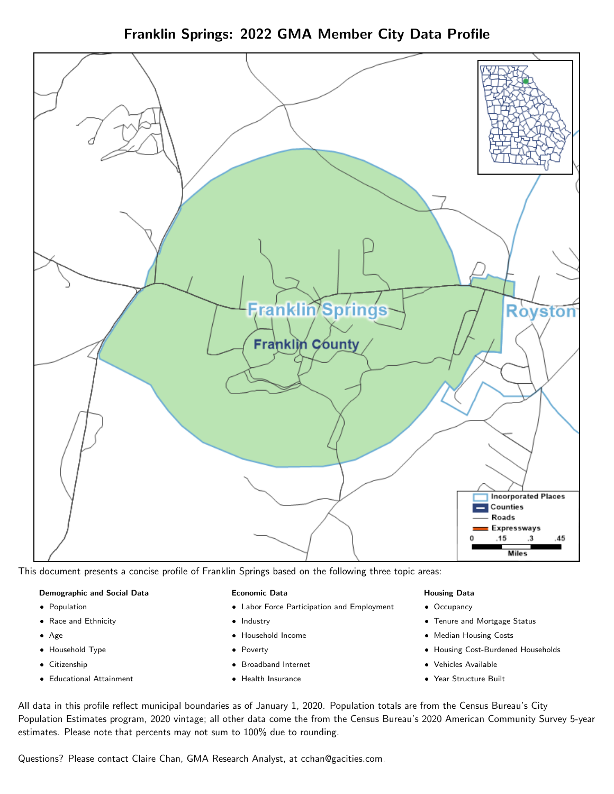Franklin Springs: 2022 GMA Member City Data Profile



This document presents a concise profile of Franklin Springs based on the following three topic areas:

#### Demographic and Social Data

- **•** Population
- Race and Ethnicity
- Age
- Household Type
- **Citizenship**
- Educational Attainment

#### Economic Data

- Labor Force Participation and Employment
- Industry
- Household Income
- Poverty
- Broadband Internet
- Health Insurance

#### Housing Data

- Occupancy
- Tenure and Mortgage Status
- Median Housing Costs
- Housing Cost-Burdened Households
- Vehicles Available
- Year Structure Built

All data in this profile reflect municipal boundaries as of January 1, 2020. Population totals are from the Census Bureau's City Population Estimates program, 2020 vintage; all other data come the from the Census Bureau's 2020 American Community Survey 5-year estimates. Please note that percents may not sum to 100% due to rounding.

Questions? Please contact Claire Chan, GMA Research Analyst, at [cchan@gacities.com.](mailto:cchan@gacities.com)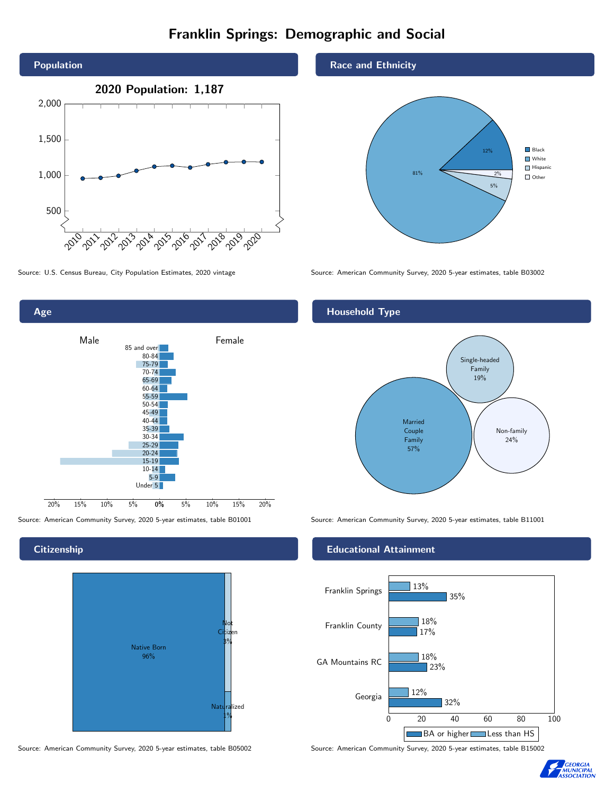# Franklin Springs: Demographic and Social





### **Citizenship**



Source: American Community Survey, 2020 5-year estimates, table B05002 Source: American Community Survey, 2020 5-year estimates, table B15002

#### Race and Ethnicity



Source: U.S. Census Bureau, City Population Estimates, 2020 vintage Source: American Community Survey, 2020 5-year estimates, table B03002

## Household Type



Source: American Community Survey, 2020 5-year estimates, table B01001 Source: American Community Survey, 2020 5-year estimates, table B11001

## Educational Attainment



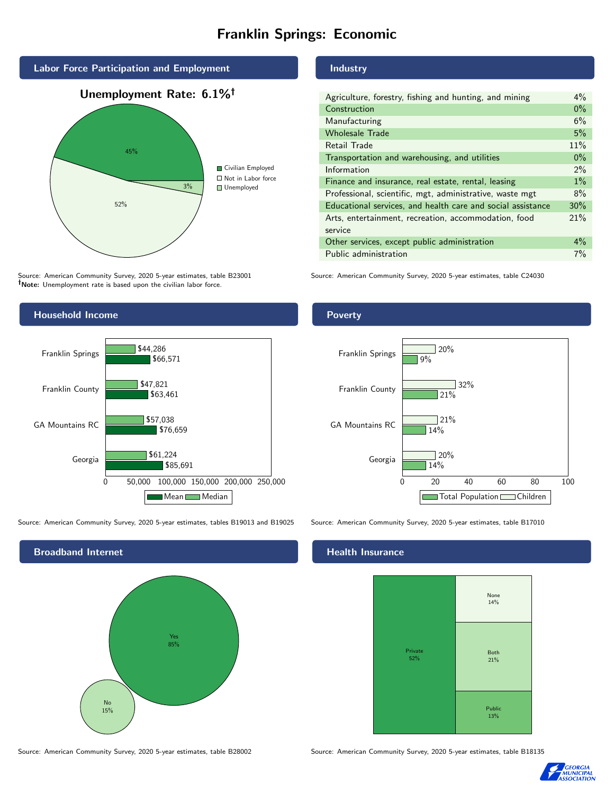# Franklin Springs: Economic



Source: American Community Survey, 2020 5-year estimates, table B23001 Note: Unemployment rate is based upon the civilian labor force.

### Industry

| Agriculture, forestry, fishing and hunting, and mining      | $4\%$ |
|-------------------------------------------------------------|-------|
| Construction                                                | $0\%$ |
| Manufacturing                                               | 6%    |
| <b>Wholesale Trade</b>                                      | 5%    |
| Retail Trade                                                | 11%   |
| Transportation and warehousing, and utilities               | $0\%$ |
| Information                                                 | 2%    |
| Finance and insurance, real estate, rental, leasing         | $1\%$ |
| Professional, scientific, mgt, administrative, waste mgt    | 8%    |
| Educational services, and health care and social assistance | 30%   |
| Arts, entertainment, recreation, accommodation, food        | 21%   |
| service                                                     |       |
| Other services, except public administration                | $4\%$ |
| Public administration                                       | 7%    |
|                                                             |       |

Source: American Community Survey, 2020 5-year estimates, table C24030



Source: American Community Survey, 2020 5-year estimates, tables B19013 and B19025 Source: American Community Survey, 2020 5-year estimates, table B17010



#### Health Insurance



Source: American Community Survey, 2020 5-year estimates, table B28002 Source: American Community Survey, 2020 5-year estimates, table B18135



### **Poverty**